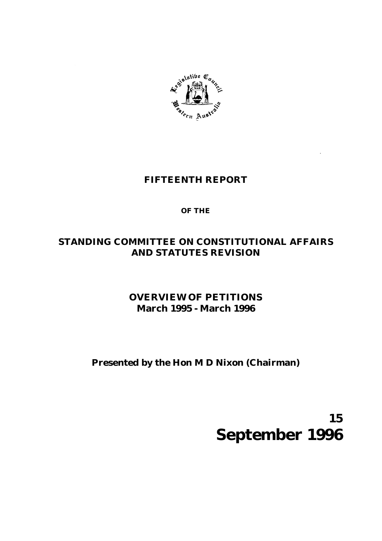

## **FIFTEENTH REPORT**

## **OF THE**

## **STANDING COMMITTEE ON CONSTITUTIONAL AFFAIRS AND STATUTES REVISION**

# **OVERVIEW OF PETITIONS March 1995 - March 1996**

# **Presented by the Hon M D Nixon (Chairman)**

**15 September 1996**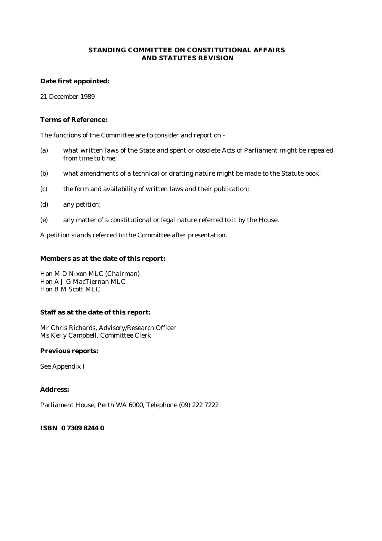#### **STANDING COMMITTEE ON CONSTITUTIONAL AFFAIRS AND STATUTES REVISION**

#### **Date first appointed:**

21 December 1989

#### **Terms of Reference:**

The functions of the Committee are to consider and report on -

- (a) what written laws of the State and spent or obsolete Acts of Parliament might be repealed from time to time;
- (b) what amendments of a technical or drafting nature might be made to the Statute book;
- (c) the form and availability of written laws and their publication;
- (d) any petition;
- (e) any matter of a constitutional or legal nature referred to it by the House.

A petition stands referred to the Committee after presentation.

#### **Members as at the date of this report:**

Hon M D Nixon MLC (Chairman) Hon A J G MacTiernan MLC Hon B M Scott MLC

#### **Staff as at the date of this report:**

Mr Chris Richards, Advisory/Research Officer Ms Kelly Campbell, Committee Clerk

#### **Previous reports:**

See Appendix I

#### **Address:**

Parliament House, Perth WA 6000, Telephone (09) 222 7222

#### **ISBN 0 7309 8244 0**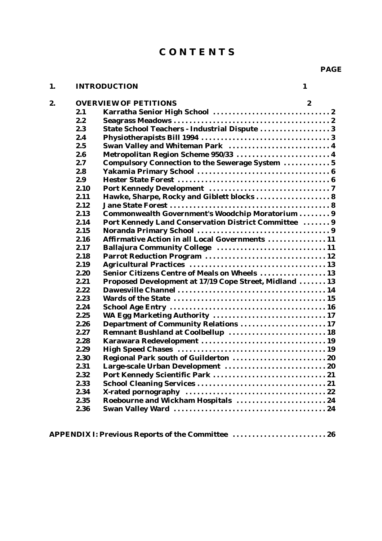# **C O N T E N T S**

## **1. INTRODUCTION 1**

| PAGE |  |
|------|--|
|      |  |

|      | <b>OVERVIEW OF PETITIONS</b><br>2                      |  |
|------|--------------------------------------------------------|--|
| 2.1  |                                                        |  |
| 2.2  |                                                        |  |
| 2.3  | State School Teachers - Industrial Dispute 3           |  |
| 2.4  |                                                        |  |
| 2.5  | Swan Valley and Whiteman Park  4                       |  |
| 2.6  | Metropolitan Region Scheme 950/33  4                   |  |
| 2.7  | Compulsory Connection to the Sewerage System  5        |  |
| 2.8  |                                                        |  |
| 2.9  |                                                        |  |
| 2.10 |                                                        |  |
| 2.11 | Hawke, Sharpe, Rocky and Giblett blocks 8              |  |
| 2.12 |                                                        |  |
| 2.13 | Commonwealth Government's Woodchip Moratorium  9       |  |
| 2.14 | Port Kennedy Land Conservation District Committee  9   |  |
| 2.15 |                                                        |  |
| 2.16 | Affirmative Action in all Local Governments  11        |  |
| 2.17 | Ballajura Community College  11                        |  |
| 2.18 |                                                        |  |
| 2.19 |                                                        |  |
| 2.20 | <b>Senior Citizens Centre of Meals on Wheels  13</b>   |  |
| 2.21 | Proposed Development at 17/19 Cope Street, Midland  13 |  |
| 2.22 |                                                        |  |
| 2.23 |                                                        |  |
| 2.24 |                                                        |  |
| 2.25 | WA Egg Marketing Authority  17                         |  |
| 2.26 | Department of Community Relations  17                  |  |
| 2.27 | Remnant Bushland at Coolbellup  18                     |  |
| 2.28 |                                                        |  |
| 2.29 |                                                        |  |
| 2.30 |                                                        |  |
| 2.31 |                                                        |  |
| 2.32 |                                                        |  |
| 2.33 |                                                        |  |
| 2.34 |                                                        |  |
| 2.35 | Roebourne and Wickham Hospitals  24                    |  |
| 2.36 |                                                        |  |

**APPENDIX I: Previous Reports of the Committee ........................ 26**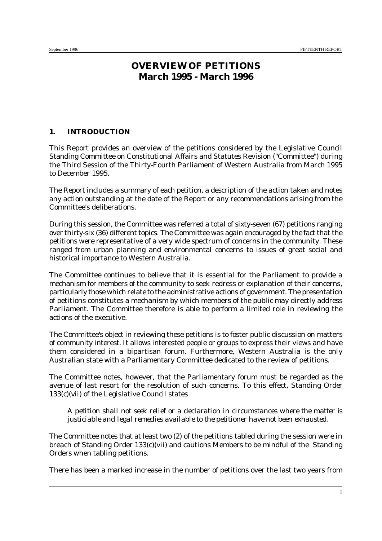## **OVERVIEW OF PETITIONS March 1995 - March 1996**

#### **1. INTRODUCTION**

This Report provides an overview of the petitions considered by the Legislative Council Standing Committee on Constitutional Affairs and Statutes Revision ("Committee") during the Third Session of the Thirty-Fourth Parliament of Western Australia from March 1995 to December 1995.

The Report includes a summary of each petition, a description of the action taken and notes any action outstanding at the date of the Report or any recommendations arising from the Committee's deliberations.

During this session, the Committee was referred a total of sixty-seven (67) petitions ranging over thirty-six (36) different topics. The Committee was again encouraged by the fact that the petitions were representative of a very wide spectrum of concerns in the community. These ranged from urban planning and environmental concerns to issues of great social and historical importance to Western Australia.

The Committee continues to believe that it is essential for the Parliament to provide a mechanism for members of the community to seek redress or explanation of their concerns, particularly those which relate to the administrative actions of government. The presentation of petitions constitutes a mechanism by which members of the public may directly address Parliament. The Committee therefore is able to perform a limited role in reviewing the actions of the executive.

The Committee's object in reviewing these petitions is to foster public discussion on matters of community interest. It allows interested people or groups to express their views and have them considered in a bipartisan forum. Furthermore, Western Australia is the only Australian state with a Parliamentary Committee dedicated to the review of petitions*.*

The Committee notes, however, that the Parliamentary forum must be regarded as the avenue of last resort for the resolution of such concerns. To this effect, Standing Order 133(c)(vii) of the Legislative Council states

*A petition shall not seek relief or a declaration in circumstances where the matter is justiciable and legal remedies available to the petitioner have not been exhausted.*

The Committee notes that at least two (2) of the petitions tabled during the session were in breach of Standing Order 133(c)(vii) and cautions Members to be mindful of the Standing Orders when tabling petitions.

There has been a marked increase in the number of petitions over the last two years from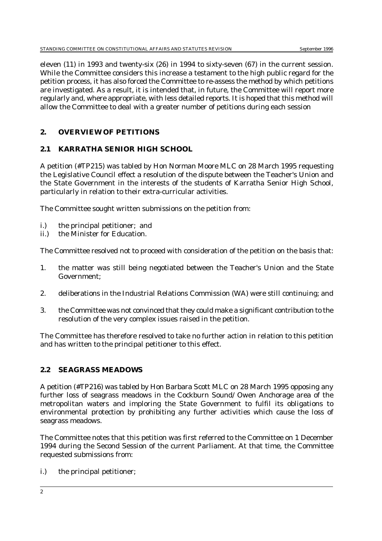eleven (11) in 1993 and twenty-six (26) in 1994 to sixty-seven (67) in the current session. While the Committee considers this increase a testament to the high public regard for the petition process, it has also forced the Committee to re-assess the method by which petitions are investigated. As a result, it is intended that, in future, the Committee will report more regularly and, where appropriate, with less detailed reports. It is hoped that this method will allow the Committee to deal with a greater number of petitions during each session

## **2. OVERVIEW OF PETITIONS**

## **2.1 KARRATHA SENIOR HIGH SCHOOL**

A petition (*#TP215*) was tabled by Hon Norman Moore MLC on 28 March 1995 requesting the Legislative Council effect a resolution of the dispute between the Teacher's Union and the State Government in the interests of the students of Karratha Senior High School, particularly in relation to their extra-curricular activities.

The Committee sought written submissions on the petition from:

- i.) the principal petitioner; and
- ii.) the Minister for Education.

The Committee resolved not to proceed with consideration of the petition on the basis that:

- 1. the matter was still being negotiated between the Teacher's Union and the State Government;
- 2. deliberations in the Industrial Relations Commission (WA) were still continuing; and
- 3. the Committee was not convinced that they could make a significant contribution to the resolution of the very complex issues raised in the petition.

The Committee has therefore resolved to take no further action in relation to this petition and has written to the principal petitioner to this effect.

## **2.2 SEAGRASS MEADOWS**

A petition (*#TP216*) was tabled by Hon Barbara Scott MLC on 28 March 1995 opposing any further loss of seagrass meadows in the Cockburn Sound/ Owen Anchorage area of the metropolitan waters and imploring the State Government to fulfil its obligations to environmental protection by prohibiting any further activities which cause the loss of seagrass meadows.

The Committee notes that this petition was first referred to the Committee on 1 December 1994 during the Second Session of the current Parliament. At that time, the Committee requested submissions from:

i.) the principal petitioner;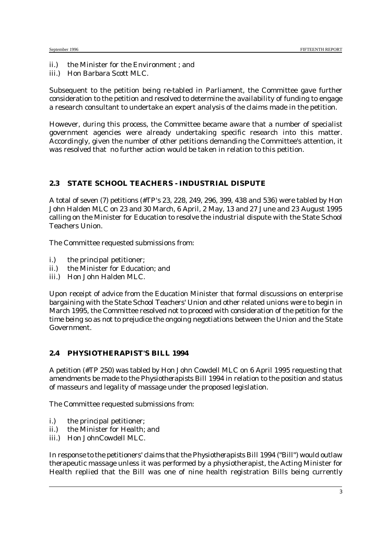ii.) the Minister for the Environment ; and

iii.) Hon Barbara Scott MLC.

Subsequent to the petition being re-tabled in Parliament, the Committee gave further consideration to the petition and resolved to determine the availability of funding to engage a research consultant to undertake an expert analysis of the claims made in the petition.

However, during this process, the Committee became aware that a number of specialist government agencies were already undertaking specific research into this matter. Accordingly, given the number of other petitions demanding the Committee's attention, it was resolved that no further action would be taken in relation to this petition.

#### **2.3 STATE SCHOOL TEACHERS - INDUSTRIAL DISPUTE**

A total of seven (7) petitions (*#TP's 23, 228, 249, 296, 399, 438 and 536*) were tabled by Hon John Halden MLC on 23 and 30 March, 6 April, 2 May, 13 and 27 June and 23 August 1995 calling on the Minister for Education to resolve the industrial dispute with the State School Teachers Union.

The Committee requested submissions from:

- i.) the principal petitioner;
- ii.) the Minister for Education; and
- iii.) Hon John Halden MLC.

Upon receipt of advice from the Education Minister that formal discussions on enterprise bargaining with the State School Teachers' Union and other related unions were to begin in March 1995, the Committee resolved not to proceed with consideration of the petition for the time being so as not to prejudice the ongoing negotiations between the Union and the State Government.

#### **2.4 PHYSIOTHERAPIST'S BILL 1994**

A petition (*#TP 250*) was tabled by Hon John Cowdell MLC on 6 April 1995 requesting that amendments be made to the *Physiotherapists Bill 1994* in relation to the position and status of masseurs and legality of massage under the proposed legislation.

The Committee requested submissions from:

- i.) the principal petitioner;
- ii.) the Minister for Health; and
- iii.) Hon JohnCowdell MLC.

In response to the petitioners' claims that the *Physiotherapists Bill 1994* ("Bill") would outlaw therapeutic massage unless it was performed by a physiotherapist, the Acting Minister for Health replied that the Bill was one of nine health registration Bills being currently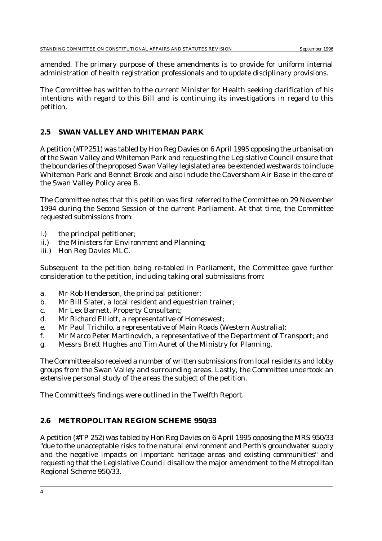amended. The primary purpose of these amendments is to provide for uniform internal administration of health registration professionals and to update disciplinary provisions.

The Committee has written to the current Minister for Health seeking clarification of his intentions with regard to this Bill and is continuing its investigations in regard to this petition.

## **2.5 SWAN VALLEY AND WHITEMAN PARK**

A petition (*#TP251*) was tabled by Hon Reg Davies on 6 April 1995 opposing the urbanisation of the Swan Valley and Whiteman Park and requesting the Legislative Council ensure that the boundaries of the proposed Swan Valley legislated area be extended westwards to include Whiteman Park and Bennet Brook and also include the Caversham Air Base in the core of the Swan Valley Policy area B.

The Committee notes that this petition was first referred to the Committee on 29 November 1994 during the Second Session of the current Parliament. At that time, the Committee requested submissions from:

- i.) the principal petitioner;
- ii.) the Ministers for Environment and Planning;
- iii.) Hon Reg Davies MLC.

Subsequent to the petition being re-tabled in Parliament, the Committee gave further consideration to the petition, including taking oral submissions from:

- a. Mr Rob Henderson, the principal petitioner;
- b. Mr Bill Slater, a local resident and equestrian trainer;
- c. Mr Lex Barnett, Property Consultant;
- d. Mr Richard Elliott, a representative of Homeswest;
- e. Mr Paul Trichilo, a representative of Main Roads (Western Australia);
- f. Mr Marco Peter Martinovich, a representative of the Department of Transport; and
- g. Messrs Brett Hughes and Tim Auret of the Ministry for Planning.

The Committee also received a number of written submissions from local residents and lobby groups from the Swan Valley and surrounding areas. Lastly, the Committee undertook an extensive personal study of the areas the subject of the petition.

The Committee's findings were outlined in the Twelfth Report.

### **2.6 METROPOLITAN REGION SCHEME 950/33**

A petition (*#TP 252*) was tabled by Hon Reg Davies on 6 April 1995 opposing the MRS 950/33 "due to the unacceptable risks to the natural environment and Perth's groundwater supply and the negative impacts on important heritage areas and existing communities" and requesting that the Legislative Council disallow the major amendment to the Metropolitan Regional Scheme 950/33.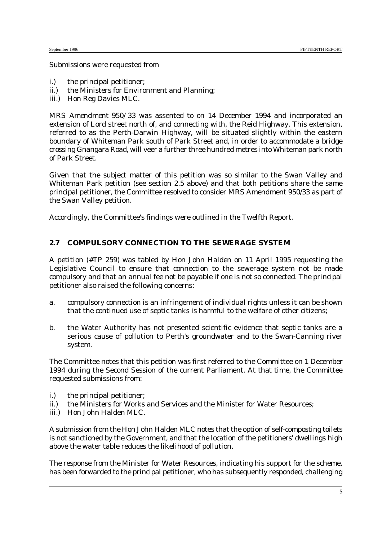#### Submissions were requested from

- i.) the principal petitioner;
- ii.) the Ministers for Environment and Planning;
- iii.) Hon Reg Davies MLC.

*MRS Amendment 950/33* was assented to on 14 December 1994 and incorporated an extension of Lord street north of, and connecting with, the Reid Highway. This extension, referred to as the Perth-Darwin Highway, will be situated slightly within the eastern boundary of Whiteman Park south of Park Street and, in order to accommodate a bridge crossing Gnangara Road, will veer a further three hundred metres into Whiteman park north of Park Street.

Given that the subject matter of this petition was so similar to the Swan Valley and Whiteman Park petition (see section 2.5 above) and that both petitions share the same principal petitioner, the Committee resolved to consider MRS Amendment 950/33 as part of the Swan Valley petition.

Accordingly, the Committee's findings were outlined in the Twelfth Report.

### **2.7 COMPULSORY CONNECTION TO THE SEWERAGE SYSTEM**

A petition (*#TP 259*) was tabled by Hon John Halden on 11 April 1995 requesting the Legislative Council to ensure that connection to the sewerage system not be made compulsory and that an annual fee not be payable if one is not so connected. The principal petitioner also raised the following concerns:

- a. compulsory connection is an infringement of individual rights unless it can be shown that the continued use of septic tanks is harmful to the welfare of other citizens;
- b. the Water Authority has not presented scientific evidence that septic tanks are a serious cause of pollution to Perth's groundwater and to the Swan-Canning river system.

The Committee notes that this petition was first referred to the Committee on 1 December 1994 during the Second Session of the current Parliament. At that time, the Committee requested submissions from:

- i.) the principal petitioner;
- ii.) the Ministers for Works and Services and the Minister for Water Resources;
- iii.) Hon John Halden MLC.

A submission from the Hon John Halden MLC notes that the option of self-composting toilets is not sanctioned by the Government, and that the location of the petitioners' dwellings high above the water table reduces the likelihood of pollution.

The response from the Minister for Water Resources, indicating his support for the scheme, has been forwarded to the principal petitioner, who has subsequently responded, challenging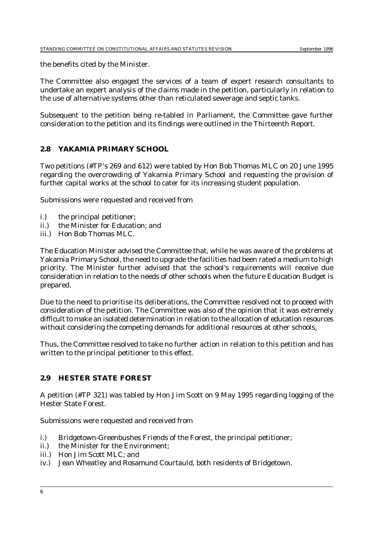the benefits cited by the Minister.

The Committee also engaged the services of a team of expert research consultants to undertake an expert analysis of the claims made in the petition, particularly in relation to the use of alternative systems other than reticulated sewerage and septic tanks.

Subsequent to the petition being re-tabled in Parliament, the Committee gave further consideration to the petition and its findings were outlined in the Thirteenth Report.

### **2.8 YAKAMIA PRIMARY SCHOOL**

Two petitions (*#TP's 269 and 612*) were tabled by Hon Bob Thomas MLC on 20 June 1995 regarding the overcrowding of Yakamia Primary School and requesting the provision of further capital works at the school to cater for its increasing student population.

Submissions were requested and received from

- i.) the principal petitioner;
- ii.) the Minister for Education; and
- iii.) Hon Bob Thomas MLC.

The Education Minister advised the Committee that, while he was aware of the problems at Yakamia Primary School, the need to upgrade the facilities had been rated a medium to high priority. The Minister further advised that the school's requirements will receive due consideration in relation to the needs of other schools when the future Education Budget is prepared.

Due to the need to prioritise its deliberations, the Committee resolved not to proceed with consideration of the petition. The Committee was also of the opinion that it was extremely difficult to make an isolated determination in relation to the allocation of education resources without considering the competing demands for additional resources at other schools.

Thus, the Committee resolved to take no further action in relation to this petition and has written to the principal petitioner to this effect.

#### **2.9 HESTER STATE FOREST**

A petition (*#TP 321*) was tabled by Hon Jim Scott on 9 May 1995 regarding logging of the Hester State Forest.

Submissions were requested and received from

- i.) Bridgetown-Greenbushes Friends of the Forest, the principal petitioner;
- ii.) the Minister for the Environment;
- iii.) Hon Jim Scott MLC; and
- iv.) Jean Wheatley and Rosamund Courtauld, both residents of Bridgetown.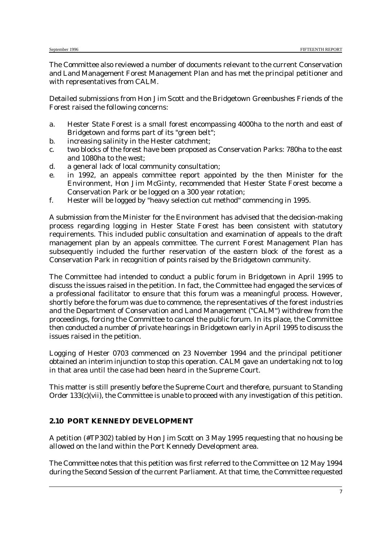The Committee also reviewed a number of documents relevant to the current Conservation and Land Management Forest Management Plan and has met the principal petitioner and with representatives from CALM.

Detailed submissions from Hon Jim Scott and the Bridgetown Greenbushes Friends of the Forest raised the following concerns:

- a. Hester State Forest is a small forest encompassing 4000ha to the north and east of Bridgetown and forms part of its "green belt";
- b. increasing salinity in the Hester catchment;
- c. two blocks of the forest have been proposed as Conservation Parks: 780ha to the east and 1080ha to the west;
- d. a general lack of local community consultation;
- e. in 1992, an appeals committee report appointed by the then Minister for the Environment, Hon Jim McGinty, recommended that Hester State Forest become a Conservation Park or be logged on a 300 year rotation;
- f. Hester will be logged by "heavy selection cut method" commencing in 1995.

A submission from the Minister for the Environment has advised that the decision-making process regarding logging in Hester State Forest has been consistent with statutory requirements. This included public consultation and examination of appeals to the draft management plan by an appeals committee. The current Forest Management Plan has subsequently included the further reservation of the eastern block of the forest as a Conservation Park in recognition of points raised by the Bridgetown community.

The Committee had intended to conduct a public forum in Bridgetown in April 1995 to discuss the issues raised in the petition. In fact, the Committee had engaged the services of a professional facilitator to ensure that this forum was a meaningful process. However, shortly before the forum was due to commence, the representatives of the forest industries and the Department of Conservation and Land Management ("CALM") withdrew from the proceedings, forcing the Committee to cancel the public forum. In its place, the Committee then conducted a number of private hearings in Bridgetown early in April 1995 to discuss the issues raised in the petition.

Logging of Hester 0703 commenced on 23 November 1994 and the principal petitioner obtained an interim injunction to stop this operation. CALM gave an undertaking not to log in that area until the case had been heard in the Supreme Court.

This matter is still presently before the Supreme Court and therefore, pursuant to Standing Order 133(c)(vii), the Committee is unable to proceed with any investigation of this petition.

#### **2.10 PORT KENNEDY DEVELOPMENT**

A petition (*#TP302*) tabled by Hon Jim Scott on 3 May 1995 requesting that no housing be allowed on the land within the Port Kennedy Development area.

The Committee notes that this petition was first referred to the Committee on 12 May 1994 during the Second Session of the current Parliament. At that time, the Committee requested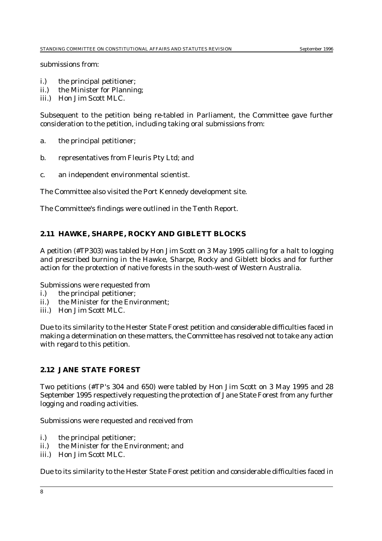submissions from:

- i.) the principal petitioner;
- ii.) the Minister for Planning;
- iii.) Hon Jim Scott MLC.

Subsequent to the petition being re-tabled in Parliament, the Committee gave further consideration to the petition, including taking oral submissions from:

- a. the principal petitioner;
- b. representatives from Fleuris Pty Ltd; and
- c. an independent environmental scientist.

The Committee also visited the Port Kennedy development site.

The Committee's findings were outlined in the Tenth Report.

#### **2.11 HAWKE, SHARPE, ROCKY AND GIBLETT BLOCKS**

A petition (*#TP303*) was tabled by Hon Jim Scott on 3 May 1995 calling for a halt to logging and prescribed burning in the Hawke, Sharpe, Rocky and Giblett blocks and for further action for the protection of native forests in the south-west of Western Australia.

Submissions were requested from

- i.) the principal petitioner;
- ii.) the Minister for the Environment;
- iii.) Hon Jim Scott MLC.

Due to its similarity to the Hester State Forest petition and considerable difficulties faced in making a determination on these matters, the Committee has resolved not to take any action with regard to this petition.

#### **2.12 JANE STATE FOREST**

Two petitions (*#TP's 304 and 650*) were tabled by Hon Jim Scott on 3 May 1995 and 28 September 1995 respectively requesting the protection of Jane State Forest from any further logging and roading activities.

Submissions were requested and received from

- i.) the principal petitioner;
- ii.) the Minister for the Environment; and
- iii.) Hon Jim Scott MLC.

Due to its similarity to the Hester State Forest petition and considerable difficulties faced in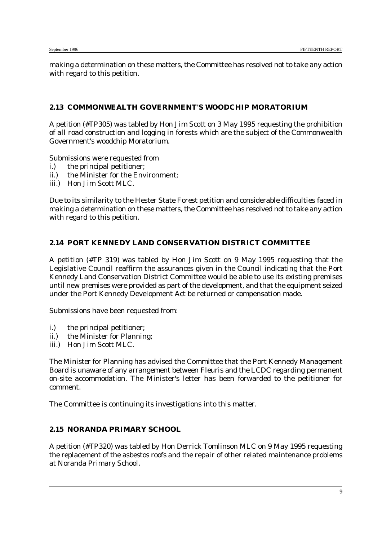making a determination on these matters, the Committee has resolved not to take any action with regard to this petition.

### **2.13 COMMONWEALTH GOVERNMENT'S WOODCHIP MORATORIUM**

A petition (*#TP305*) was tabled by Hon Jim Scott on 3 May 1995 requesting the prohibition of all road construction and logging in forests which are the subject of the Commonwealth Government's woodchip Moratorium.

Submissions were requested from

- i.) the principal petitioner;
- ii.) the Minister for the Environment;
- iii.) Hon Jim Scott MLC.

Due to its similarity to the Hester State Forest petition and considerable difficulties faced in making a determination on these matters, the Committee has resolved not to take any action with regard to this petition.

## **2.14 PORT KENNEDY LAND CONSERVATION DISTRICT COMMITTEE**

A petition (*#TP 319*) was tabled by Hon Jim Scott on 9 May 1995 requesting that the Legislative Council reaffirm the assurances given in the Council indicating that the Port Kennedy Land Conservation District Committee would be able to use its existing premises until new premises were provided as part of the development, and that the equipment seized under the Port Kennedy Development Act be returned or compensation made.

Submissions have been requested from:

- i.) the principal petitioner;
- ii.) the Minister for Planning;
- iii.) Hon Jim Scott MLC.

The Minister for Planning has advised the Committee that the Port Kennedy Management Board is unaware of any arrangement between Fleuris and the LCDC regarding permanent on-site accommodation. The Minister's letter has been forwarded to the petitioner for comment.

The Committee is continuing its investigations into this matter.

#### **2.15 NORANDA PRIMARY SCHOOL**

A petition (*#TP320*) was tabled by Hon Derrick Tomlinson MLC on 9 May 1995 requesting the replacement of the asbestos roofs and the repair of other related maintenance problems at Noranda Primary School.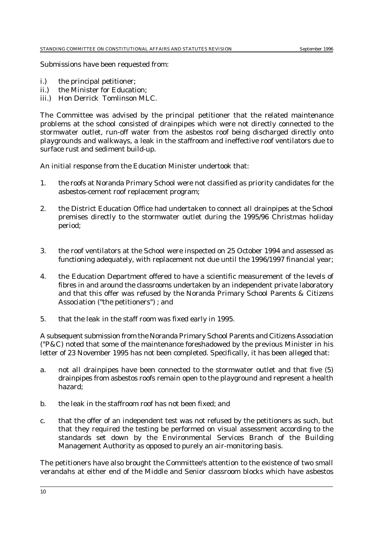Submissions have been requested from:

- i.) the principal petitioner;
- ii.) the Minister for Education;
- iii.) Hon Derrick Tomlinson MLC.

The Committee was advised by the principal petitioner that the related maintenance problems at the school consisted of drainpipes which were not directly connected to the stormwater outlet, run-off water from the asbestos roof being discharged directly onto playgrounds and walkways, a leak in the staffroom and ineffective roof ventilators due to surface rust and sediment build-up.

An initial response from the Education Minister undertook that:

- 1. the roofs at Noranda Primary School were not classified as priority candidates for the asbestos-cement roof replacement program;
- 2. the District Education Office had undertaken to connect all drainpipes at the School premises directly to the stormwater outlet during the 1995/96 Christmas holiday period;
- 3. the roof ventilators at the School were inspected on 25 October 1994 and assessed as functioning adequately, with replacement not due until the 1996/1997 financial year;
- 4. the Education Department offered to have a scientific measurement of the levels of fibres in and around the classrooms undertaken by an independent private laboratory and that this offer was refused by the Noranda Primary School Parents & Citizens Association ("the petitioners") ; and
- 5. that the leak in the staff room was fixed early in 1995.

A subsequent submission from the Noranda Primary School Parents and Citizens Association ("P&C) noted that some of the maintenance foreshadowed by the previous Minister in his letter of 23 November 1995 has not been completed. Specifically, it has been alleged that:

- a. not all drainpipes have been connected to the stormwater outlet and that five (5) drainpipes from asbestos roofs remain open to the playground and represent a health hazard;
- b. the leak in the staffroom roof has not been fixed; and
- c. that the offer of an independent test was not refused by the petitioners as such, but that they required the testing be performed on visual assessment according to the standards set down by the Environmental Services Branch of the Building Management Authority as opposed to purely an air-monitoring basis.

The petitioners have also brought the Committee's attention to the existence of two small verandahs at either end of the Middle and Senior classroom blocks which have asbestos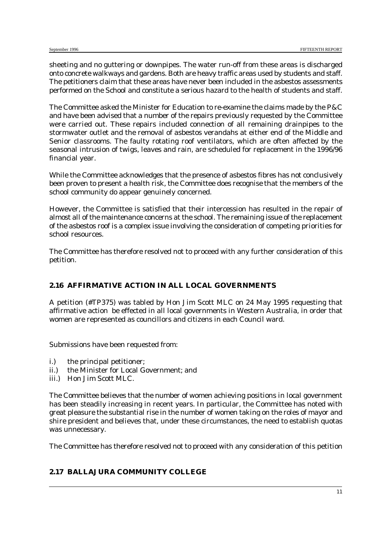sheeting and no guttering or downpipes. The water run-off from these areas is discharged onto concrete walkways and gardens. Both are heavy traffic areas used by students and staff. The petitioners claim that these areas have never been included in the asbestos assessments performed on the School and constitute a serious hazard to the health of students and staff.

The Committee asked the Minister for Education to re-examine the claims made by the P&C and have been advised that a number of the repairs previously requested by the Committee were carried out. These repairs included connection of all remaining drainpipes to the stormwater outlet and the removal of asbestos verandahs at either end of the Middle and Senior classrooms. The faulty rotating roof ventilators, which are often affected by the seasonal intrusion of twigs, leaves and rain, are scheduled for replacement in the 1996/96 financial year.

While the Committee acknowledges that the presence of asbestos fibres has not conclusively been proven to present a health risk, the Committee does recognise that the members of the school community do appear genuinely concerned.

However, the Committee is satisfied that their intercession has resulted in the repair of almost all of the maintenance concerns at the school. The remaining issue of the replacement of the asbestos roof is a complex issue involving the consideration of competing priorities for school resources.

The Committee has therefore resolved not to proceed with any further consideration of this petition.

## **2.16 AFFIRMATIVE ACTION IN ALL LOCAL GOVERNMENTS**

A petition (*#TP375*) was tabled by Hon Jim Scott MLC on 24 May 1995 requesting that affirmative action be effected in all local governments in Western Australia, in order that women are represented as councillors and citizens in each Council ward.

Submissions have been requested from:

- i.) the principal petitioner;
- ii.) the Minister for Local Government; and
- iii.) Hon Jim Scott MLC.

The Committee believes that the number of women achieving positions in local government has been steadily increasing in recent years. In particular, the Committee has noted with great pleasure the substantial rise in the number of women taking on the roles of mayor and shire president and believes that, under these circumstances, the need to establish quotas was unnecessary.

The Committee has therefore resolved not to proceed with any consideration of this petition

## **2.17 BALLAJURA COMMUNITY COLLEGE**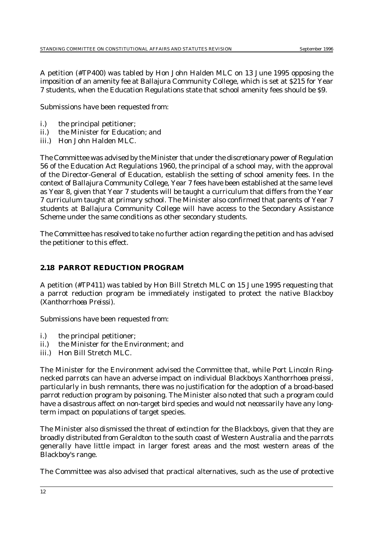A petition (*#TP400*) was tabled by Hon John Halden MLC on 13 June 1995 opposing the imposition of an amenity fee at Ballajura Community College, which is set at \$215 for Year 7 students, when the Education Regulations state that school amenity fees should be \$9.

Submissions have been requested from:

- i.) the principal petitioner;
- ii.) the Minister for Education; and
- iii.) Hon John Halden MLC.

The Committee was advised by the Minister that under the discretionary power of Regulation 56 of the Education Act Regulations 1960, the principal of a school may, with the approval of the Director-General of Education, establish the setting of school amenity fees. In the context of Ballajura Community College, Year 7 fees have been established at the same level as Year 8, given that Year 7 students will be taught a curriculum that differs from the Year 7 curriculum taught at primary school. The Minister also confirmed that parents of Year 7 students at Ballajura Community College will have access to the Secondary Assistance Scheme under the same conditions as other secondary students.

The Committee has resolved to take no further action regarding the petition and has advised the petitioner to this effect.

## **2.18 PARROT REDUCTION PROGRAM**

A petition (*#TP411*) was tabled by Hon Bill Stretch MLC on 15 June 1995 requesting that a parrot reduction program be immediately instigated to protect the native Blackboy (*Xanthorrhoea Preissi*).

Submissions have been requested from:

- i.) the principal petitioner;
- ii.) the Minister for the Environment; and
- iii.) Hon Bill Stretch MLC.

The Minister for the Environment advised the Committee that, while Port Lincoln Ringnecked parrots can have an adverse impact on individual Blackboys *Xanthorrhoea preissi*, particularly in bush remnants, there was no justification for the adoption of a broad-based parrot reduction program by poisoning. The Minister also noted that such a program could have a disastrous affect on non-target bird species and would not necessarily have any longterm impact on populations of target species.

The Minister also dismissed the threat of extinction for the Blackboys, given that they are broadly distributed from Geraldton to the south coast of Western Australia and the parrots generally have little impact in larger forest areas and the most western areas of the Blackboy's range.

The Committee was also advised that practical alternatives, such as the use of protective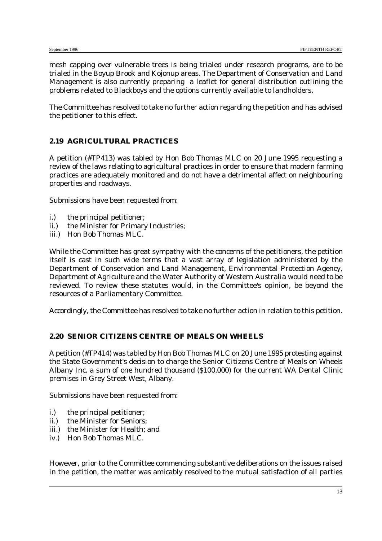mesh capping over vulnerable trees is being trialed under research programs, are to be trialed in the Boyup Brook and Kojonup areas. The Department of Conservation and Land Management is also currently preparing a leaflet for general distribution outlining the problems related to Blackboys and the options currently available to landholders.

The Committee has resolved to take no further action regarding the petition and has advised the petitioner to this effect.

## **2.19 AGRICULTURAL PRACTICES**

A petition (*#TP413*) was tabled by Hon Bob Thomas MLC on 20 June 1995 requesting a review of the laws relating to agricultural practices in order to ensure that modern farming practices are adequately monitored and do not have a detrimental affect on neighbouring properties and roadways.

Submissions have been requested from:

- i.) the principal petitioner;
- ii.) the Minister for Primary Industries;
- iii.) Hon Bob Thomas MLC.

While the Committee has great sympathy with the concerns of the petitioners, the petition itself is cast in such wide terms that a vast array of legislation administered by the Department of Conservation and Land Management, Environmental Protection Agency, Department of Agriculture and the Water Authority of Western Australia would need to be reviewed. To review these statutes would, in the Committee's opinion, be beyond the resources of a Parliamentary Committee.

Accordingly, the Committee has resolved to take no further action in relation to this petition.

#### **2.20 SENIOR CITIZENS CENTRE OF MEALS ON WHEELS**

A petition (*#TP414*) was tabled by Hon Bob Thomas MLC on 20 June 1995 protesting against the State Government's decision to charge the Senior Citizens Centre of Meals on Wheels Albany Inc. a sum of one hundred thousand (\$100,000) for the current WA Dental Clinic premises in Grey Street West, Albany.

Submissions have been requested from:

- i.) the principal petitioner;
- ii.) the Minister for Seniors;
- iii.) the Minister for Health; and
- iv.) Hon Bob Thomas MLC.

However, prior to the Committee commencing substantive deliberations on the issues raised in the petition, the matter was amicably resolved to the mutual satisfaction of all parties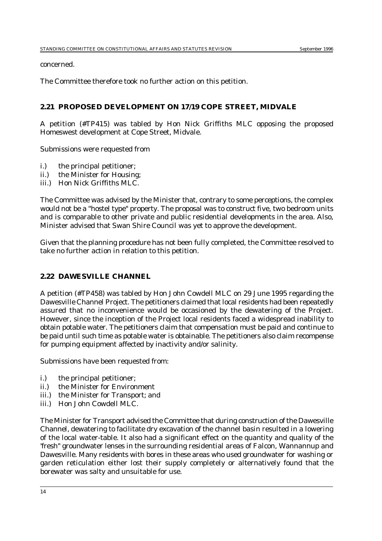concerned.

The Committee therefore took no further action on this petition.

## **2.21 PROPOSED DEVELOPMENT ON 17/19 COPE STREET, MIDVALE**

A petition (*#TP415)* was tabled by Hon Nick Griffiths MLC opposing the proposed Homeswest development at Cope Street, Midvale.

Submissions were requested from

- i.) the principal petitioner;
- ii.) the Minister for Housing;
- iii.) Hon Nick Griffiths MLC.

The Committee was advised by the Minister that, contrary to some perceptions, the complex would not be a "hostel type" property. The proposal was to construct five, two bedroom units and is comparable to other private and public residential developments in the area. Also, Minister advised that Swan Shire Council was yet to approve the development.

Given that the planning procedure has not been fully completed, the Committee resolved to take no further action in relation to this petition.

#### **2.22 DAWESVILLE CHANNEL**

A petition (*#TP458*) was tabled by Hon John Cowdell MLC on 29 June 1995 regarding the Dawesville Channel Project. The petitioners claimed that local residents had been repeatedly assured that no inconvenience would be occasioned by the dewatering of the Project. However, since the inception of the Project local residents faced a widespread inability to obtain potable water. The petitioners claim that compensation must be paid and continue to be paid until such time as potable water is obtainable. The petitioners also claim recompense for pumping equipment affected by inactivity and/or salinity.

Submissions have been requested from:

- i.) the principal petitioner;
- ii.) the Minister for Environment
- iii.) the Minister for Transport; and
- iii.) Hon John Cowdell MLC.

The Minister for Transport advised the Committee that during construction of the Dawesville Channel, dewatering to facilitate dry excavation of the channel basin resulted in a lowering of the local water-table. It also had a significant effect on the quantity and quality of the 'fresh" groundwater lenses in the surrounding residential areas of Falcon, Wannannup and Dawesville. Many residents with bores in these areas who used groundwater for washing or garden reticulation either lost their supply completely or alternatively found that the borewater was salty and unsuitable for use.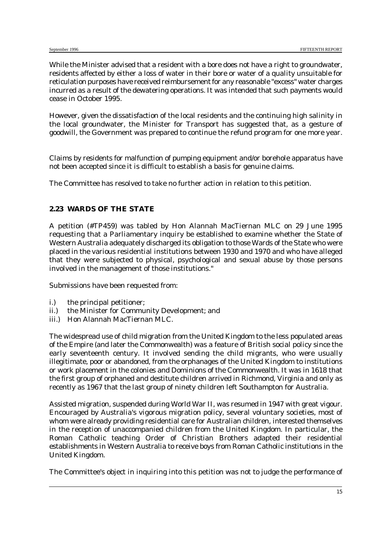While the Minister advised that a resident with a bore does not have a right to groundwater, residents affected by either a loss of water in their bore or water of a quality unsuitable for reticulation purposes have received reimbursement for any reasonable "excess" water charges incurred as a result of the dewatering operations. It was intended that such payments would cease in October 1995.

However, given the dissatisfaction of the local residents and the continuing high salinity in the local groundwater, the Minister for Transport has suggested that, as a gesture of goodwill, the Government was prepared to continue the refund program for one more year.

Claims by residents for malfunction of pumping equipment and/or borehole apparatus have not been accepted since it is difficult to establish a basis for genuine claims.

The Committee has resolved to take no further action in relation to this petition.

#### **2.23 WARDS OF THE STATE**

A petition (*#TP459*) was tabled by Hon Alannah MacTiernan MLC on 29 June 1995 requesting that a Parliamentary inquiry be established to examine whether the State of Western Australia adequately discharged its obligation to those Wards of the State who were placed in the various residential institutions between 1930 and 1970 and who have alleged that they were subjected to physical, psychological and sexual abuse by those persons involved in the management of those institutions."

Submissions have been requested from:

- i.) the principal petitioner;
- ii.) the Minister for Community Development; and
- iii.) Hon Alannah MacTiernan MLC.

The widespread use of child migration from the United Kingdom to the less populated areas of the Empire (and later the Commonwealth) was a feature of British social policy since the early seventeenth century. It involved sending the child migrants, who were usually illegitimate, poor or abandoned, from the orphanages of the United Kingdom to institutions or work placement in the colonies and Dominions of the Commonwealth. It was in 1618 that the first group of orphaned and destitute children arrived in Richmond, Virginia and only as recently as 1967 that the last group of ninety children left Southampton for Australia.

Assisted migration, suspended during World War II, was resumed in 1947 with great vigour. Encouraged by Australia's vigorous migration policy, several voluntary societies, most of whom were already providing residential care for Australian children, interested themselves in the reception of unaccompanied children from the United Kingdom. In particular, the Roman Catholic teaching Order of Christian Brothers adapted their residential establishments in Western Australia to receive boys from Roman Catholic institutions in the United Kingdom.

The Committee's object in inquiring into this petition was not to judge the performance of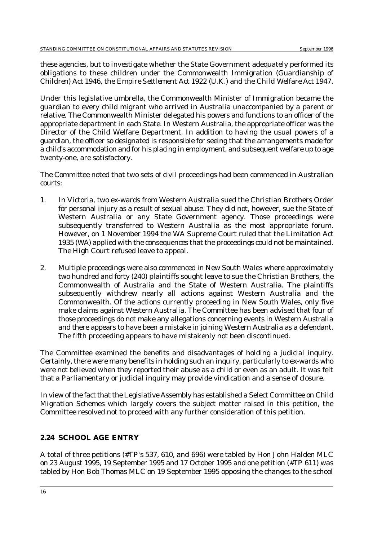these agencies, but to investigate whether the State Government adequately performed its obligations to these children under the *Commonwealth Immigration (Guardianship of Children) Act 1946*, the *Empire Settlement Act 1922 (U.K.)* and the *Child Welfare Act 1947.*

Under this legislative umbrella, the Commonwealth Minister of Immigration became the guardian to every child migrant who arrived in Australia unaccompanied by a parent or relative. The Commonwealth Minister delegated his powers and functions to an officer of the appropriate department in each State. In Western Australia, the appropriate officer was the Director of the Child Welfare Department. In addition to having the usual powers of a guardian, the officer so designated is responsible for seeing that the arrangements made for a child's accommodation and for his placing in employment, and subsequent welfare up to age twenty-one, are satisfactory.

The Committee noted that two sets of civil proceedings had been commenced in Australian courts:

- 1. In Victoria, two ex-wards from Western Australia sued the Christian Brothers Order for personal injury as a result of sexual abuse. They did not, however, sue the State of Western Australia or any State Government agency. Those proceedings were subsequently transferred to Western Australia as the most appropriate forum. However, on 1 November 1994 the WA Supreme Court ruled that the *Limitation Act 1935 (WA)* applied with the consequences that the proceedings could not be maintained. The High Court refused leave to appeal.
- 2. Multiple proceedings were also commenced in New South Wales where approximately two hundred and forty (240) plaintiffs sought leave to sue the Christian Brothers, the Commonwealth of Australia and the State of Western Australia. The plaintiffs subsequently withdrew nearly all actions against Western Australia and the Commonwealth. Of the actions currently proceeding in New South Wales, only five make claims against Western Australia. The Committee has been advised that four of those proceedings do not make any allegations concerning events in Western Australia and there appears to have been a mistake in joining Western Australia as a defendant. The fifth proceeding appears to have mistakenly not been discontinued.

The Committee examined the benefits and disadvantages of holding a judicial inquiry. Certainly, there were many benefits in holding such an inquiry, particularly to ex-wards who were not believed when they reported their abuse as a child or even as an adult. It was felt that a Parliamentary or judicial inquiry may provide vindication and a sense of closure.

In view of the fact that the Legislative Assembly has established a Select Committee on Child Migration Schemes which largely covers the subject matter raised in this petition, the Committee resolved not to proceed with any further consideration of this petition.

## **2.24 SCHOOL AGE ENTRY**

A total of three petitions (*#TP's 537, 610, and 696*) were tabled by Hon John Halden MLC on 23 August 1995, 19 September 1995 and 17 October 1995 and one petition (#TP 611) was tabled by Hon Bob Thomas MLC on 19 September 1995 opposing the changes to the school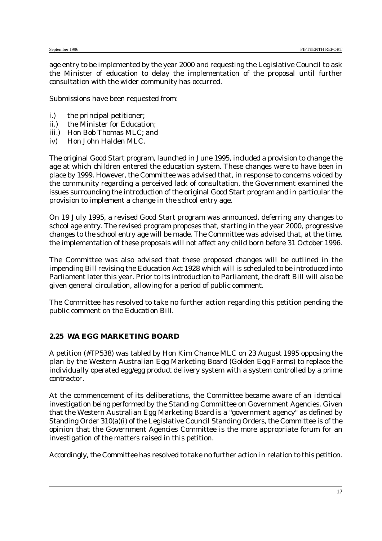age entry to be implemented by the year 2000 and requesting the Legislative Council to ask the Minister of education to delay the implementation of the proposal until further consultation with the wider community has occurred.

Submissions have been requested from:

- i.) the principal petitioner;
- ii.) the Minister for Education;
- iii.) Hon Bob Thomas MLC; and
- iv) Hon John Halden MLC.

The original Good Start program, launched in June 1995, included a provision to change the age at which children entered the education system. These changes were to have been in place by 1999. However, the Committee was advised that, in response to concerns voiced by the community regarding a perceived lack of consultation, the Government examined the issues surrounding the introduction of the original Good Start program and in particular the provision to implement a change in the school entry age.

On 19 July 1995, a revised Good Start program was announced, deferring any changes to school age entry. The revised program proposes that, starting in the year 2000, progressive changes to the school entry age will be made. The Committee was advised that, at the time, the implementation of these proposals will not affect any child born before 31 October 1996.

The Committee was also advised that these proposed changes will be outlined in the impending Bill revising the *Education Act 1928* which will is scheduled to be introduced into Parliament later this year. Prior to its introduction to Parliament, the draft Bill will also be given general circulation, allowing for a period of public comment.

The Committee has resolved to take no further action regarding this petition pending the public comment on the Education Bill.

#### **2.25 WA EGG MARKETING BOARD**

A petition (*#TP538*) was tabled by Hon Kim Chance MLC on 23 August 1995 opposing the plan by the Western Australian Egg Marketing Board (Golden Egg Farms) to replace the individually operated egg/egg product delivery system with a system controlled by a prime contractor.

At the commencement of its deliberations, the Committee became aware of an identical investigation being performed by the Standing Committee on Government Agencies. Given that the Western Australian Egg Marketing Board is a "government agency" as defined by Standing Order 310(a)(i) of the Legislative Council Standing Orders, the Committee is of the opinion that the Government Agencies Committee is the more appropriate forum for an investigation of the matters raised in this petition.

Accordingly, the Committee has resolved to take no further action in relation to this petition.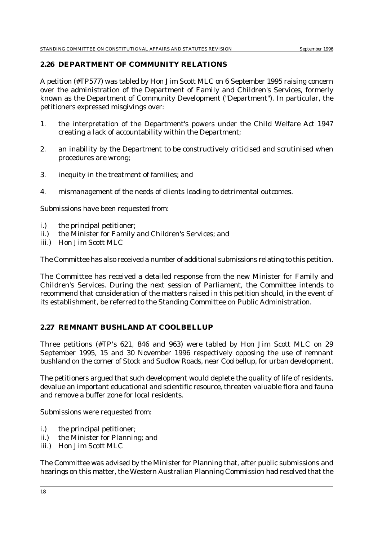#### **2.26 DEPARTMENT OF COMMUNITY RELATIONS**

A petition (*#TP577*) was tabled by Hon Jim Scott MLC on 6 September 1995 raising concern over the administration of the Department of Family and Children's Services, formerly known as the Department of Community Development ("Department"). In particular, the petitioners expressed misgivings over:

- 1. the interpretation of the Department's powers under the Child Welfare Act 1947 creating a lack of accountability within the Department;
- 2. an inability by the Department to be constructively criticised and scrutinised when procedures are wrong;
- 3. inequity in the treatment of families; and
- 4. mismanagement of the needs of clients leading to detrimental outcomes.

Submissions have been requested from:

- i.) the principal petitioner;
- ii.) the Minister for Family and Children's Services; and
- iii.) Hon Jim Scott MLC

The Committee has also received a number of additional submissions relating to this petition.

The Committee has received a detailed response from the new Minister for Family and Children's Services. During the next session of Parliament, the Committee intends to recommend that consideration of the matters raised in this petition should, in the event of its establishment, be referred to the Standing Committee on Public Administration.

## **2.27 REMNANT BUSHLAND AT COOLBELLUP**

Three petitions (*#TP's 621, 846 and 963*) were tabled by Hon Jim Scott MLC on 29 September 1995, 15 and 30 November 1996 respectively opposing the use of remnant bushland on the corner of Stock and Sudlow Roads, near Coolbellup, for urban development.

The petitioners argued that such development would deplete the quality of life of residents, devalue an important educational and scientific resource, threaten valuable flora and fauna and remove a buffer zone for local residents.

Submissions were requested from:

- i.) the principal petitioner;
- ii.) the Minister for Planning; and
- iii.) Hon Jim Scott MLC

The Committee was advised by the Minister for Planning that, after public submissions and hearings on this matter, the Western Australian Planning Commission had resolved that the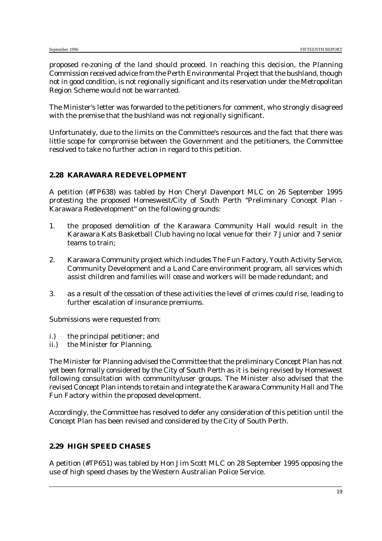proposed re-zoning of the land should proceed. In reaching this decision, the Planning Commission received advice from the Perth Environmental Project that the bushland, though not in good condition, is not regionally significant and its reservation under the Metropolitan Region Scheme would not be warranted.

The Minister's letter was forwarded to the petitioners for comment, who strongly disagreed with the premise that the bushland was not regionally significant.

Unfortunately, due to the limits on the Committee's resources and the fact that there was little scope for compromise between the Government and the petitioners, the Committee resolved to take no further action in regard to this petition.

#### **2.28 KARAWARA REDEVELOPMENT**

A petition (#*TP638*) was tabled by Hon Cheryl Davenport MLC on 26 September 1995 protesting the proposed Homeswest/City of South Perth "Preliminary Concept Plan - Karawara Redevelopment" on the following grounds:

- 1. the proposed demolition of the Karawara Community Hall would result in the Karawara Kats Basketball Club having no local venue for their 7 Junior and 7 senior teams to train;
- 2. Karawara Community project which includes The Fun Factory, Youth Activity Service, Community Development and a Land Care environment program, all services which assist children and families will cease and workers will be made redundant; and
- 3. as a result of the cessation of these activities the level of crimes could rise, leading to further escalation of insurance premiums.

Submissions were requested from:

- i.) the principal petitioner; and
- ii.) the Minister for Planning.

The Minister for Planning advised the Committee that the preliminary Concept Plan has not yet been formally considered by the City of South Perth as it is being revised by Homeswest following consultation with community/user groups. The Minister also advised that the revised Concept Plan intends to retain and integrate the Karawara Community Hall and The Fun Factory within the proposed development.

Accordingly, the Committee has resolved to defer any consideration of this petition until the Concept Plan has been revised and considered by the City of South Perth.

## **2.29 HIGH SPEED CHASES**

A petition (*#TP651*) was tabled by Hon Jim Scott MLC on 28 September 1995 opposing the use of high speed chases by the Western Australian Police Service.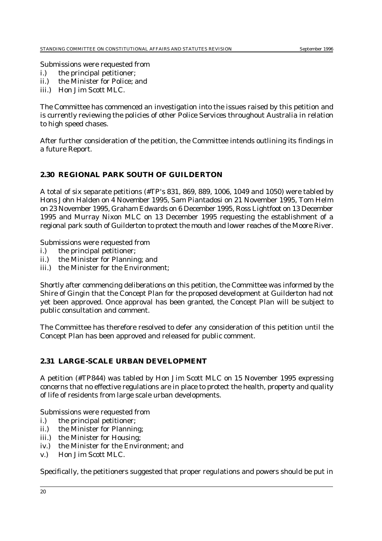Submissions were requested from

- i.) the principal petitioner;
- ii.) the Minister for Police; and
- iii.) Hon Jim Scott MLC.

The Committee has commenced an investigation into the issues raised by this petition and is currently reviewing the policies of other Police Services throughout Australia in relation to high speed chases.

After further consideration of the petition, the Committee intends outlining its findings in a future Report.

#### **2.30 REGIONAL PARK SOUTH OF GUILDERTON**

A total of six separate petitions (*#TP's 831, 869, 889, 1006, 1049 and 1050*) were tabled by Hons John Halden on 4 November 1995, Sam Piantadosi on 21 November 1995, Tom Helm on 23 November 1995, Graham Edwards on 6 December 1995, Ross Lightfoot on 13 December 1995 and Murray Nixon MLC on 13 December 1995 requesting the establishment of a regional park south of Guilderton to protect the mouth and lower reaches of the Moore River.

Submissions were requested from

- i.) the principal petitioner;
- ii.) the Minister for Planning; and
- iii.) the Minister for the Environment;

Shortly after commencing deliberations on this petition, the Committee was informed by the Shire of Gingin that the Concept Plan for the proposed development at Guilderton had not yet been approved. Once approval has been granted, the Concept Plan will be subject to public consultation and comment.

The Committee has therefore resolved to defer any consideration of this petition until the Concept Plan has been approved and released for public comment.

#### **2.31 LARGE-SCALE URBAN DEVELOPMENT**

A petition (*#TP844*) was tabled by Hon Jim Scott MLC on 15 November 1995 expressing concerns that no effective regulations are in place to protect the health, property and quality of life of residents from large scale urban developments.

Submissions were requested from

- i.) the principal petitioner;
- ii.) the Minister for Planning;
- iii.) the Minister for Housing;
- iv.) the Minister for the Environment; and
- v.) Hon Jim Scott MLC.

Specifically, the petitioners suggested that proper regulations and powers should be put in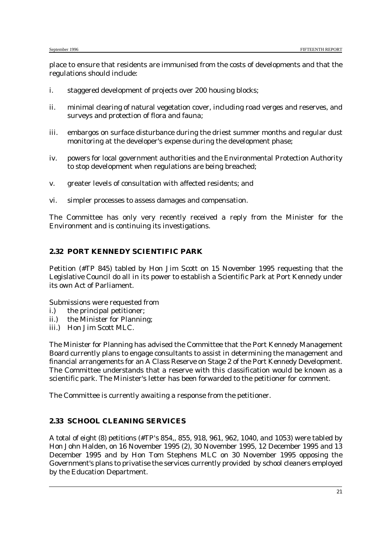place to ensure that residents are immunised from the costs of developments and that the regulations should include:

- i. staggered development of projects over 200 housing blocks;
- ii. minimal clearing of natural vegetation cover, including road verges and reserves, and surveys and protection of flora and fauna;
- iii. embargos on surface disturbance during the driest summer months and regular dust monitoring at the developer's expense during the development phase;
- iv. powers for local government authorities and the Environmental Protection Authority to stop development when regulations are being breached;
- v. greater levels of consultation with affected residents; and
- vi. simpler processes to assess damages and compensation.

The Committee has only very recently received a reply from the Minister for the Environment and is continuing its investigations.

#### **2.32 PORT KENNEDY SCIENTIFIC PARK**

Petition *(#TP 845*) tabled by Hon Jim Scott on 15 November 1995 requesting that the Legislative Council do all in its power to establish a Scientific Park at Port Kennedy under its own Act of Parliament.

Submissions were requested from

- i.) the principal petitioner;
- ii.) the Minister for Planning;
- iii.) Hon Jim Scott MLC.

The Minister for Planning has advised the Committee that the Port Kennedy Management Board currently plans to engage consultants to assist in determining the management and financial arrangements for an A Class Reserve on Stage 2 of the Port Kennedy Development. The Committee understands that a reserve with this classification would be known as a scientific park. The Minister's letter has been forwarded to the petitioner for comment.

The Committee is currently awaiting a response from the petitioner.

## **2.33 SCHOOL CLEANING SERVICES**

A total of eight (8) petitions (*#TP's 854,, 855, 918, 961, 962, 1040, and 1053*) were tabled by Hon John Halden, on 16 November 1995 (2), 30 November 1995, 12 December 1995 and 13 December 1995 and by Hon Tom Stephens MLC on 30 November 1995 opposing the Government's plans to privatise the services currently provided by school cleaners employed by the Education Department.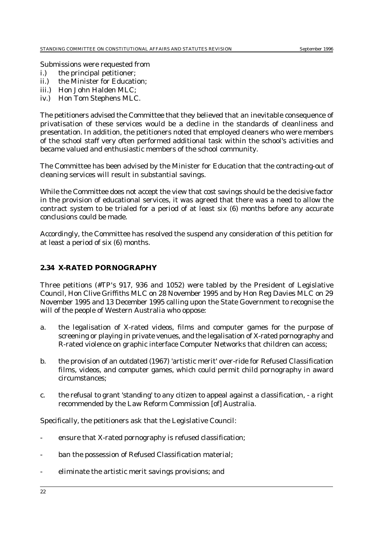Submissions were requested from

- i.) the principal petitioner;
- ii.) the Minister for Education;
- iii.) Hon John Halden MLC:
- iv.) Hon Tom Stephens MLC.

The petitioners advised the Committee that they believed that an inevitable consequence of privatisation of these services would be a decline in the standards of cleanliness and presentation. In addition, the petitioners noted that employed cleaners who were members of the school staff very often performed additional task within the school's activities and became valued and enthusiastic members of the school community.

The Committee has been advised by the Minister for Education that the contracting-out of cleaning services will result in substantial savings.

While the Committee does not accept the view that cost savings should be the decisive factor in the provision of educational services, it was agreed that there was a need to allow the contract system to be trialed for a period of at least six (6) months before any accurate conclusions could be made.

Accordingly, the Committee has resolved the suspend any consideration of this petition for at least a period of six (6) months.

#### **2.34 X-RATED PORNOGRAPHY**

Three petitions (*#TP's 917, 936 and 1052*) were tabled by the President of Legislative Council, Hon Clive Griffiths MLC on 28 November 1995 and by Hon Reg Davies MLC on 29 November 1995 and 13 December 1995 calling upon the State Government to recognise the will of the people of Western Australia who oppose:

- a. the legalisation of X-rated videos, films and computer games for the purpose of screening or playing in private venues, and the legalisation of X-rated pornography and R-rated violence on graphic interface Computer Networks that children can access;
- b. the provision of an outdated (1967) 'artistic merit' over-ride for Refused Classification films, videos, and computer games, which could permit child pornography in award circumstances;
- c. the refusal to grant 'standing' to any citizen to appeal against a classification, a right recommended by the Law Reform Commission [of] Australia.

Specifically, the petitioners ask that the Legislative Council:

- ensure that X-rated pornography is refused classification;
- ban the possession of Refused Classification material;
- eliminate the artistic merit savings provisions; and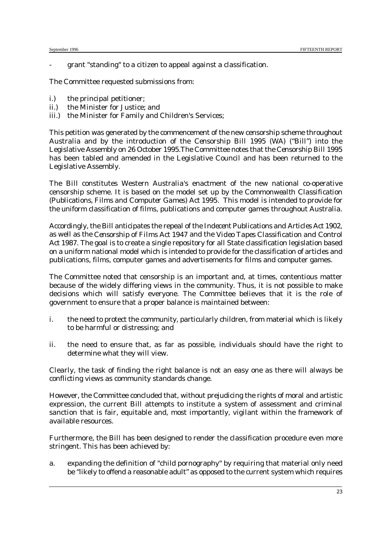grant "standing" to a citizen to appeal against a classification.

The Committee requested submissions from:

- i.) the principal petitioner;
- ii.) the Minister for Justice; and
- iii.) the Minister for Family and Children's Services;

This petition was generated by the commencement of the new censorship scheme throughout Australia and by the introduction of the *Censorship Bill 1995 (WA)* ("Bill") into the Legislative Assembly on 26 October 1995.The Committee notes that the *Censorship Bill 1995* has been tabled and amended in the Legislative Council and has been returned to the Legislative Assembly.

The Bill constitutes Western Australia's enactment of the new national co-operative censorship scheme. It is based on the model set up by the *Commonwealth Classification (Publications, Films and Computer Games) Act 1995.* This model is intended to provide for the uniform classification of films, publications and computer games throughout Australia.

Accordingly, the Bill anticipates the repeal of the *Indecent Publications and Articles Act 1902*, as well as the *Censorship of Films Act 1947* and the *Video Tapes Classification and Control Act 1987.* The goal is to create a single repository for all State classification legislation based on a uniform national model which is intended to provide for the classification of articles and publications, films, computer games and advertisements for films and computer games.

The Committee noted that censorship is an important and, at times, contentious matter because of the widely differing views in the community. Thus, it is not possible to make decisions which will satisfy everyone. The Committee believes that it is the role of government to ensure that a proper balance is maintained between:

- i. the need to protect the community, particularly children, from material which is likely to be harmful or distressing; and
- ii. the need to ensure that, as far as possible, individuals should have the right to determine what they will view.

Clearly, the task of finding the right balance is not an easy one as there will always be conflicting views as community standards change.

However, the Committee concluded that, without prejudicing the rights of moral and artistic expression, the current Bill attempts to institute a system of assessment and criminal sanction that is fair, equitable and, most importantly, vigilant within the framework of available resources.

Furthermore, the Bill has been designed to render the classification procedure even more stringent. This has been achieved by:

a. expanding the definition of "child pornography" by requiring that material only need be "likely to offend a reasonable adult" as opposed to the current system which requires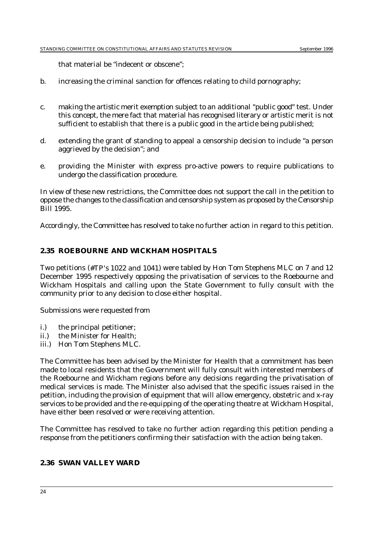that material be "indecent or obscene";

- b. increasing the criminal sanction for offences relating to child pornography;
- c. making the artistic merit exemption subject to an additional "public good" test. Under this concept, the mere fact that material has recognised literary or artistic merit is not sufficient to establish that there is a public good in the article being published;
- d. extending the grant of standing to appeal a censorship decision to include "a person aggrieved by the decision"; and
- e. providing the Minister with express pro-active powers to require publications to undergo the classification procedure.

In view of these new restrictions, the Committee does not support the call in the petition to oppose the changes to the classification and censorship system as proposed by the *Censorship Bill 1995.*

Accordingly, the Committee has resolved to take no further action in regard to this petition.

#### **2.35 ROEBOURNE AND WICKHAM HOSPITALS**

Two petitions (*#TP's 1022 and 1041*) were tabled by Hon Tom Stephens MLC on 7 and 12 December 1995 respectively opposing the privatisation of services to the Roebourne and Wickham Hospitals and calling upon the State Government to fully consult with the community prior to any decision to close either hospital.

Submissions were requested from

- i.) the principal petitioner;
- ii.) the Minister for Health;
- iii.) Hon Tom Stephens MLC.

The Committee has been advised by the Minister for Health that a commitment has been made to local residents that the Government will fully consult with interested members of the Roebourne and Wickham regions before any decisions regarding the privatisation of medical services is made. The Minister also advised that the specific issues raised in the petition, including the provision of equipment that will allow emergency, obstetric and x-ray services to be provided and the re-equipping of the operating theatre at Wickham Hospital, have either been resolved or were receiving attention.

The Committee has resolved to take no further action regarding this petition pending a response from the petitioners confirming their satisfaction with the action being taken.

## **2.36 SWAN VALLEY WARD**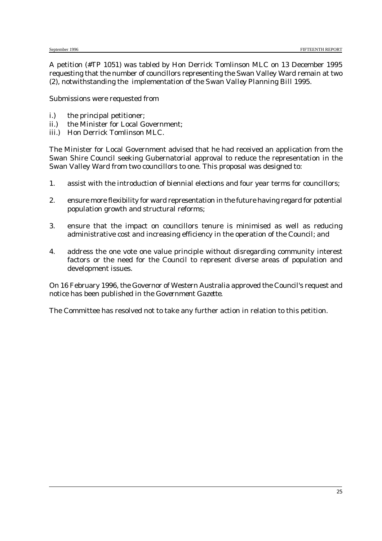A petition (*#TP 1051*) was tabled by Hon Derrick Tomlinson MLC on 13 December 1995 requesting that the number of councillors representing the Swan Valley Ward remain at two (2), notwithstanding the implementation of the *Swan Valley Planning Bill 1995*.

Submissions were requested from

- i.) the principal petitioner;
- ii.) the Minister for Local Government;
- iii.) Hon Derrick Tomlinson MLC.

The Minister for Local Government advised that he had received an application from the Swan Shire Council seeking Gubernatorial approval to reduce the representation in the Swan Valley Ward from two councillors to one. This proposal was designed to:

- 1. assist with the introduction of biennial elections and four year terms for councillors;
- 2. ensure more flexibility for ward representation in the future having regard for potential population growth and structural reforms;
- 3. ensure that the impact on councillors tenure is minimised as well as reducing administrative cost and increasing efficiency in the operation of the Council; and
- 4. address the one vote one value principle without disregarding community interest factors or the need for the Council to represent diverse areas of population and development issues.

On 16 February 1996, the Governor of Western Australia approved the Council's request and notice has been published in the *Government Gazette*.

The Committee has resolved not to take any further action in relation to this petition.